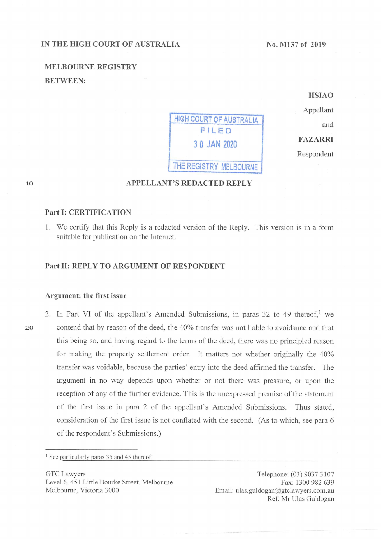#### IN THE HIGH COURT OF AUSTRALIA

No. M137 of 2019

and

# MELBOURNE REGISTRY BETWEEN:

**HIGH COURT OF AUSTRALIA** AN 2020 FILED HSIAO Appellant **FAZARRI** Respondent THE REGISTRY MELBOURNE

10

# APPELLANT'S REDACTED REPLY

### Part I: CERTIFICATION

1. We certify that this Reply is a redacted version of the Reply. This version is in a form suitable for publication on the Internet.

### Part 11: REPLY To ARGUMENT OF RESPONDENT

#### Argument: the first issue

2. In Part VI of the appellant's Amended Submissions, in paras 32 to 49 thereof,<sup>1</sup> we contend that by reason of the deed, the 40% transfer was not liable to avoidance and that this being so, and having regard to the terms of the deed, there was no principled reason for making the property settlement order. It matters not whether originally the 40% transfer was voidable, because the parties' entry into the deed affirmed the transfer. The argument in no way depends upon whether or not there was pressure, or upon the reception of any of the further evidence. This is the unexpressed premise of the statement of the first issue in para 2 of the appellant's Amended Submissions. Thus stated, consideration of the first issue is not conflated with the second. (As to which, see para 6 of the respondent's Submissions.)

<sup>1</sup> See particularly paras 35 and 45 thereof.

GTC Lawyers Level 6, 451 Little Bourke Street, Melbourne Melbourne, Victoria 3000

Telephone: (03) 90373107 Fax: 1300 982 639 Email: ulas.guldogan@gtclawyers.com.au Ref: Mr Ulas GUIdogan

20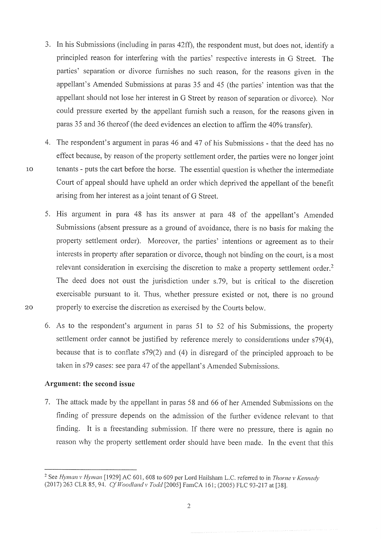- 3. In his Submissions (including in paras 42ff), the respondent must, but does not, identify a principled reason for interfering with the parties' respective interests in G Street. The parties' separation or divorce furnishes no such reason, for the reasons given in the appellant's Amended Submissions at paras 35 and 45 (the parties' intention was that the appellant should not lose her interest in G Street by reason of separation or divorce). Nor could pressure exerted by the appellant furnish such a reason, for the reasons given in paras 35 and 36 thereof (the deed evidences an election to affirm the 40% transfer).
- 4. The respondent's argument in paras 46 and 47 of his Submissions that the deed has no effect because, by reason of the property settlement order, the parties were no longer joint tenants - puts the cart before the horse. The essential question is whether the intermediate Court of appeal should have upheld an order which deprived the appellant of the benefit arising from her interest as a joint tenant of G Street.
- 5. His argument in para 48 has its answer at para 48 of the appellant's Amended Submissions (absent pressure as a ground of avoidance, there is no basis for making the property settlement order). Moreover, the parties' intentions or agreement as to their interests in property after separation or divorce, though not binding on the court, is a most relevant consideration in exercising the discretion to make a property settlement order.<sup>2</sup> The deed does not oust the jurisdiction under s. 79, but is critical to the discretion exercisable pursuant to it. Thus, whether pressure existed or not, there is no ground 20 properly to exercise the discretion as exercised by the Courts below
	- <sup>6</sup> As to the respondent's argument in paras 51 to 52 of his Submissions, the property settlement order cannot be justified by reference merely to considerations under s79(4), because that is to conflate  $s79(2)$  and (4) in disregard of the principled approach to be taken in s79 cases: see para 47 of the appellant's Amended Submissions.

## Argument: the second issue

10

7. The attack made by the appellant in paras 58 and 66 of her Amended Submissions on the finding of pressure depends on the admission of the further evidence relevant to that finding. It is a freestanding submission. If there were no pressure, there is again no reason why the property settlement order should have been made. In the event that this

,

<sup>&</sup>lt;sup>2</sup> See Hyman v Hyman [1929] AC 601, 608 to 609 per Lord Hailsham L.C. referred to in Thorne v Kennedy (2017) 263 CLR 85, 94. Cf Woodland v Todd [2005] FamCA 161; (2005) FLC 93-217 at [38].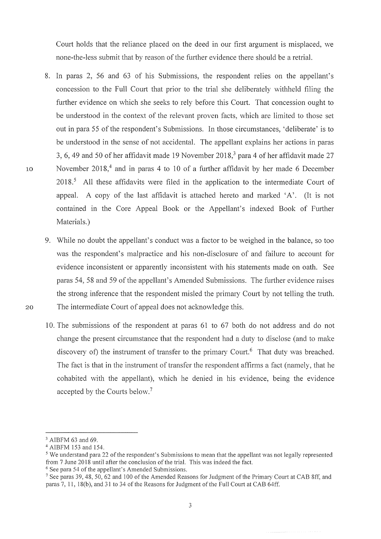Court holds that the reliance placed on the deed in our first argument is misplaced, we none-the-less submit that by reason of the further evidence there should be a retrial.

- 8. In paras 2, 56 and 63 of his Submissions, the respondent relies on the appellant's concession to the Full Court that prior to the trial she deliberately withheld filing the further evidence on which she seeks to rely before this Court. That concession ought to be understood in the context of the relevant proven facts, which are limited to those set out in para 55 of the respondent's Submissions. In those circumstances, 'deliberate' is to be understood in the sense of not accidental. The appellant explains her actions in paras 3, 6, 49 and 50 of her affidavit made 19 November  $2018<sup>3</sup>$  para 4 of her affidavit made 27 November 2018.<sup>4</sup> and in paras 4 to 10 of a further affidavit by her made 6 December  $2018<sup>5</sup>$  All these affidavits were filed in the application to the intermediate Court of appeal. A copy of the last affidavit is attached bereto and marked 'A'. (It is not contained in the Core Appeal Book or the Appellant's indexed Book of Further Materials. )
- 9. While no doubt the appellant's conduct was a factor to be weighed in the balance, so too was the respondent's malpractice and his non-disclosure of and failure to account for evidence inconsistent or apparently inconsistent with his statements made on oath. See paras 54, 58 and 59 of the appellant's Amended Submissions. The further evidence raises the strong inference that the respondent misled the primary Court by not telling the truth. 20 The intermediate Court of appeal does not acknowledge this.
	- 10. The submissions of the respondent at paras  $61$  to  $67$  both do not address and do not change the present circumstance that the respondent had a duty to disclose (and to make discovery of) the instrument of transfer to the primary Court. <sup>6</sup> That duty was breached. The fact is that in the instrument of transfer the respondent affirms a fact (namely, that he cohabited with the appellant), which he denied in his evidence, being the evidence accepted by the Courts below.<sup>7</sup>

<sup>&</sup>lt;sup>3</sup> AIBFM 63 and 69.

<sup>4</sup> A1BFM 153 and 154

<sup>&</sup>lt;sup>5</sup> We understand para 22 of the respondent's Submissions to mean that the appellant was not legally represented from  $7$  June  $2018$  until after the conclusion of the trial. This was indeed the fact.  $<sup>6</sup>$  See para 54 of the appellant's Amended Submissions.</sup>

<sup>&</sup>lt;sup>7</sup> See paras 39, 48, 50, 62 and 100 of the Amended Reasons for Judgment of the Primary Court at CAB 8ff, and paras  $7, 11, 18(b)$ , and  $31$  to  $34$  of the Reasons for Judgment of the Full Court at CAB 64ff.